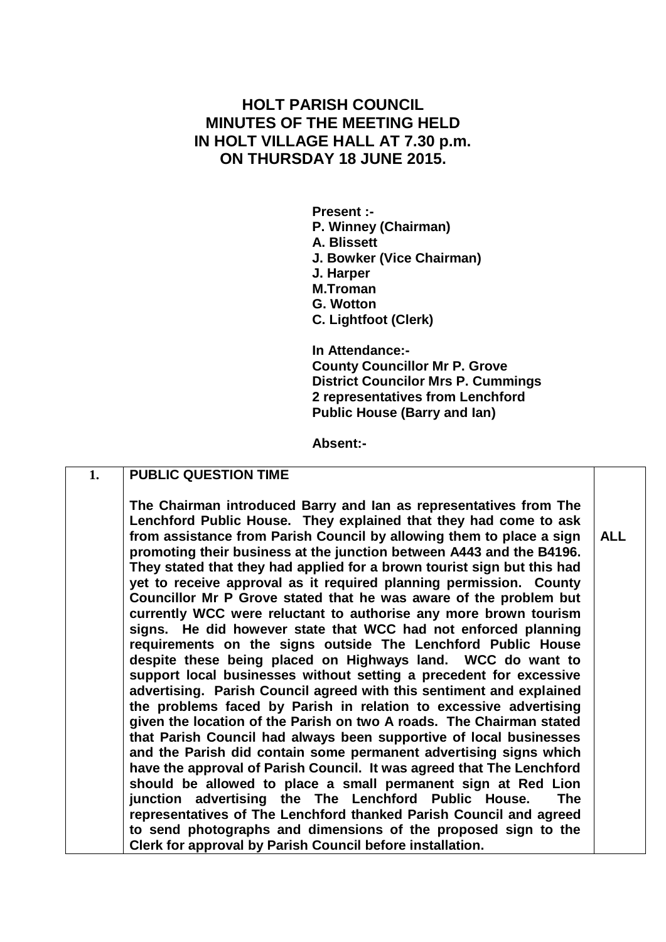## **HOLT PARISH COUNCIL MINUTES OF THE MEETING HELD IN HOLT VILLAGE HALL AT 7.30 p.m. ON THURSDAY 18 JUNE 2015.**

**Present :- P. Winney (Chairman) A. Blissett J. Bowker (Vice Chairman) J. Harper M.Troman G. Wotton C. Lightfoot (Clerk)**

**In Attendance:- County Councillor Mr P. Grove District Councilor Mrs P. Cummings 2 representatives from Lenchford Public House (Barry and Ian)**

**Absent:-**

## **1. PUBLIC QUESTION TIME**

**The Chairman introduced Barry and Ian as representatives from The Lenchford Public House. They explained that they had come to ask from assistance from Parish Council by allowing them to place a sign promoting their business at the junction between A443 and the B4196. They stated that they had applied for a brown tourist sign but this had yet to receive approval as it required planning permission. County Councillor Mr P Grove stated that he was aware of the problem but currently WCC were reluctant to authorise any more brown tourism signs. He did however state that WCC had not enforced planning requirements on the signs outside The Lenchford Public House despite these being placed on Highways land. WCC do want to support local businesses without setting a precedent for excessive advertising. Parish Council agreed with this sentiment and explained the problems faced by Parish in relation to excessive advertising given the location of the Parish on two A roads. The Chairman stated that Parish Council had always been supportive of local businesses and the Parish did contain some permanent advertising signs which have the approval of Parish Council. It was agreed that The Lenchford should be allowed to place a small permanent sign at Red Lion junction advertising the The Lenchford Public House. The representatives of The Lenchford thanked Parish Council and agreed to send photographs and dimensions of the proposed sign to the Clerk for approval by Parish Council before installation.**

**ALL**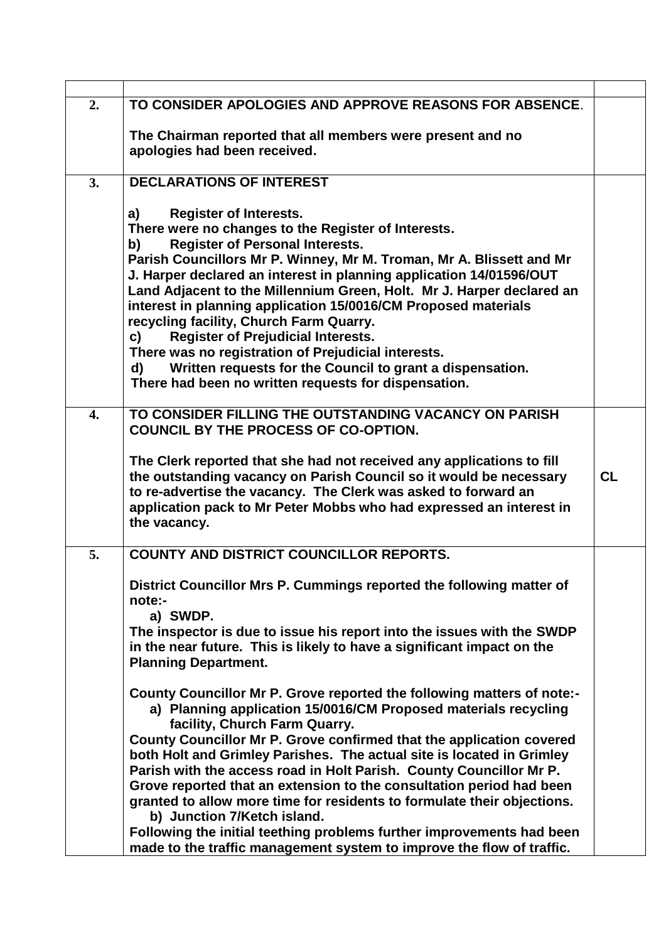| 2.               | TO CONSIDER APOLOGIES AND APPROVE REASONS FOR ABSENCE.                                                                                      |           |
|------------------|---------------------------------------------------------------------------------------------------------------------------------------------|-----------|
|                  |                                                                                                                                             |           |
|                  | The Chairman reported that all members were present and no<br>apologies had been received.                                                  |           |
|                  |                                                                                                                                             |           |
| 3.               | <b>DECLARATIONS OF INTEREST</b>                                                                                                             |           |
|                  |                                                                                                                                             |           |
|                  | <b>Register of Interests.</b><br>a)                                                                                                         |           |
|                  | There were no changes to the Register of Interests.                                                                                         |           |
|                  | <b>Register of Personal Interests.</b><br>b)                                                                                                |           |
|                  | Parish Councillors Mr P. Winney, Mr M. Troman, Mr A. Blissett and Mr<br>J. Harper declared an interest in planning application 14/01596/OUT |           |
|                  | Land Adjacent to the Millennium Green, Holt. Mr J. Harper declared an                                                                       |           |
|                  | interest in planning application 15/0016/CM Proposed materials                                                                              |           |
|                  | recycling facility, Church Farm Quarry.                                                                                                     |           |
|                  | <b>Register of Prejudicial Interests.</b><br>C)                                                                                             |           |
|                  | There was no registration of Prejudicial interests.                                                                                         |           |
|                  | Written requests for the Council to grant a dispensation.<br>d)                                                                             |           |
|                  | There had been no written requests for dispensation.                                                                                        |           |
| $\overline{4}$ . | TO CONSIDER FILLING THE OUTSTANDING VACANCY ON PARISH                                                                                       |           |
|                  | COUNCIL BY THE PROCESS OF CO-OPTION.                                                                                                        |           |
|                  |                                                                                                                                             |           |
|                  | The Clerk reported that she had not received any applications to fill                                                                       |           |
|                  | the outstanding vacancy on Parish Council so it would be necessary                                                                          | <b>CL</b> |
|                  | to re-advertise the vacancy. The Clerk was asked to forward an<br>application pack to Mr Peter Mobbs who had expressed an interest in       |           |
|                  | the vacancy.                                                                                                                                |           |
|                  |                                                                                                                                             |           |
| 5.               | <b>COUNTY AND DISTRICT COUNCILLOR REPORTS.</b>                                                                                              |           |
|                  | District Councillor Mrs P. Cummings reported the following matter of                                                                        |           |
|                  | note:-                                                                                                                                      |           |
|                  | a) SWDP.                                                                                                                                    |           |
|                  | The inspector is due to issue his report into the issues with the SWDP                                                                      |           |
|                  | in the near future. This is likely to have a significant impact on the                                                                      |           |
|                  | <b>Planning Department.</b>                                                                                                                 |           |
|                  | County Councillor Mr P. Grove reported the following matters of note:-                                                                      |           |
|                  | a) Planning application 15/0016/CM Proposed materials recycling                                                                             |           |
|                  | facility, Church Farm Quarry.                                                                                                               |           |
|                  | County Councillor Mr P. Grove confirmed that the application covered                                                                        |           |
|                  | both Holt and Grimley Parishes. The actual site is located in Grimley                                                                       |           |
|                  | Parish with the access road in Holt Parish. County Councillor Mr P.<br>Grove reported that an extension to the consultation period had been |           |
|                  | granted to allow more time for residents to formulate their objections.                                                                     |           |
|                  | b) Junction 7/Ketch island.                                                                                                                 |           |
|                  | Following the initial teething problems further improvements had been                                                                       |           |
|                  | made to the traffic management system to improve the flow of traffic.                                                                       |           |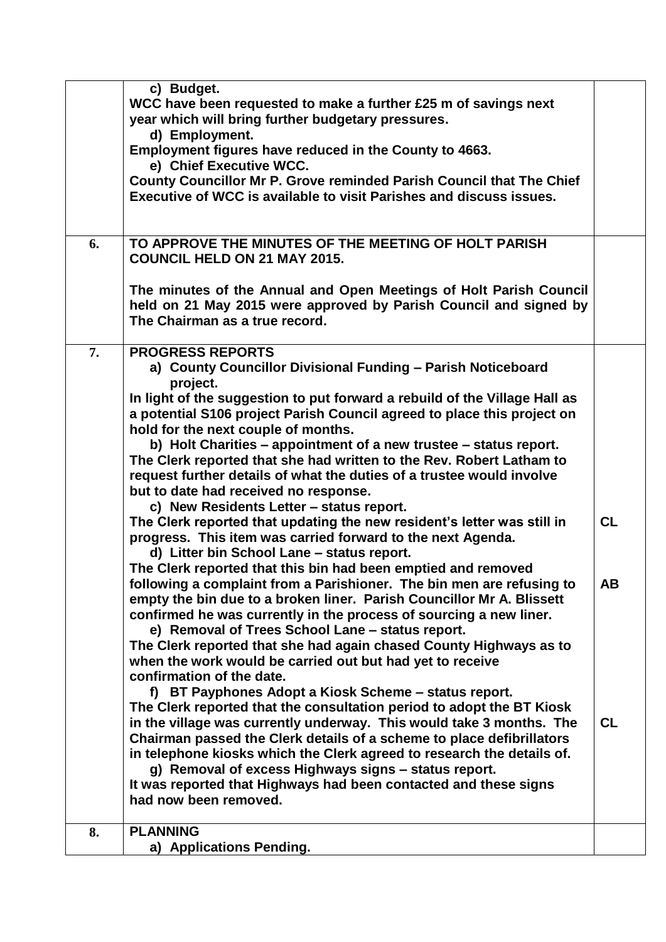|    | c) Budget.                                                                 |           |
|----|----------------------------------------------------------------------------|-----------|
|    | WCC have been requested to make a further £25 m of savings next            |           |
|    | year which will bring further budgetary pressures.                         |           |
|    | d) Employment.                                                             |           |
|    | Employment figures have reduced in the County to 4663.                     |           |
|    | e) Chief Executive WCC.                                                    |           |
|    | County Councillor Mr P. Grove reminded Parish Council that The Chief       |           |
|    | <b>Executive of WCC is available to visit Parishes and discuss issues.</b> |           |
|    |                                                                            |           |
|    |                                                                            |           |
| 6. | TO APPROVE THE MINUTES OF THE MEETING OF HOLT PARISH                       |           |
|    | <b>COUNCIL HELD ON 21 MAY 2015.</b>                                        |           |
|    |                                                                            |           |
|    | The minutes of the Annual and Open Meetings of Holt Parish Council         |           |
|    | held on 21 May 2015 were approved by Parish Council and signed by          |           |
|    | The Chairman as a true record.                                             |           |
|    |                                                                            |           |
| 7. | <b>PROGRESS REPORTS</b>                                                    |           |
|    | a) County Councillor Divisional Funding - Parish Noticeboard               |           |
|    | project.                                                                   |           |
|    | In light of the suggestion to put forward a rebuild of the Village Hall as |           |
|    | a potential S106 project Parish Council agreed to place this project on    |           |
|    | hold for the next couple of months.                                        |           |
|    | b) Holt Charities – appointment of a new trustee – status report.          |           |
|    | The Clerk reported that she had written to the Rev. Robert Latham to       |           |
|    | request further details of what the duties of a trustee would involve      |           |
|    | but to date had received no response.                                      |           |
|    | c) New Residents Letter - status report.                                   |           |
|    | The Clerk reported that updating the new resident's letter was still in    | <b>CL</b> |
|    | progress. This item was carried forward to the next Agenda.                |           |
|    | d) Litter bin School Lane - status report.                                 |           |
|    | The Clerk reported that this bin had been emptied and removed              |           |
|    | following a complaint from a Parishioner. The bin men are refusing to      | <b>AB</b> |
|    | empty the bin due to a broken liner. Parish Councillor Mr A. Blissett      |           |
|    | confirmed he was currently in the process of sourcing a new liner.         |           |
|    | e) Removal of Trees School Lane - status report.                           |           |
|    | The Clerk reported that she had again chased County Highways as to         |           |
|    | when the work would be carried out but had yet to receive                  |           |
|    | confirmation of the date.                                                  |           |
|    | f) BT Payphones Adopt a Kiosk Scheme - status report.                      |           |
|    | The Clerk reported that the consultation period to adopt the BT Kiosk      |           |
|    | in the village was currently underway. This would take 3 months. The       | CL        |
|    | Chairman passed the Clerk details of a scheme to place defibrillators      |           |
|    | in telephone kiosks which the Clerk agreed to research the details of.     |           |
|    | g) Removal of excess Highways signs - status report.                       |           |
|    | It was reported that Highways had been contacted and these signs           |           |
|    | had now been removed.                                                      |           |
|    |                                                                            |           |
| 8. | <b>PLANNING</b>                                                            |           |
|    | a) Applications Pending.                                                   |           |
|    |                                                                            |           |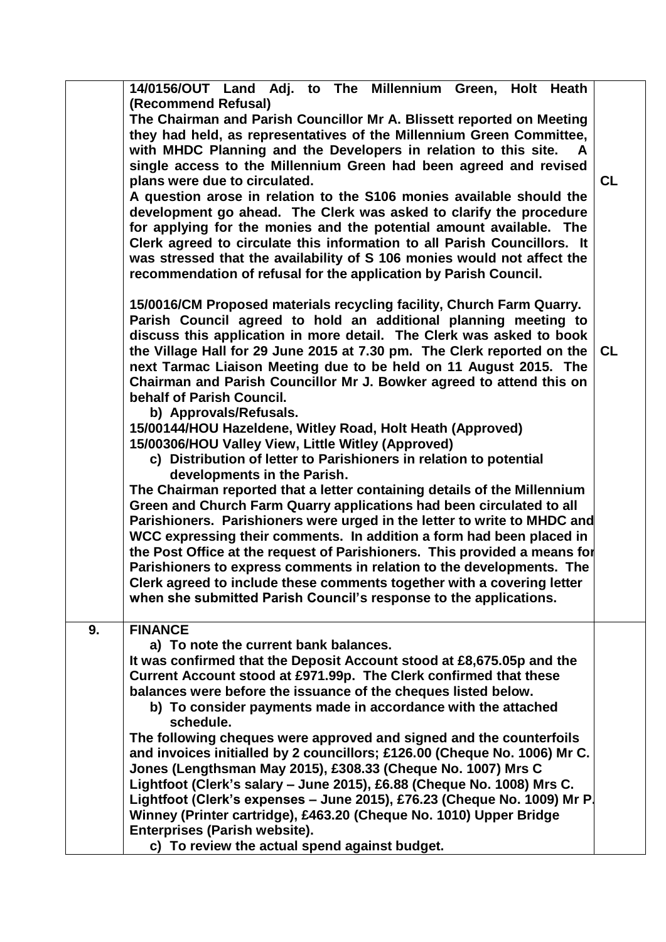|    | 14/0156/OUT Land Adj. to The Millennium Green, Holt Heath                 |           |
|----|---------------------------------------------------------------------------|-----------|
|    | (Recommend Refusal)                                                       |           |
|    | The Chairman and Parish Councillor Mr A. Blissett reported on Meeting     |           |
|    | they had held, as representatives of the Millennium Green Committee,      |           |
|    | with MHDC Planning and the Developers in relation to this site.<br>A      |           |
|    | single access to the Millennium Green had been agreed and revised         |           |
|    | plans were due to circulated.                                             | <b>CL</b> |
|    | A question arose in relation to the S106 monies available should the      |           |
|    | development go ahead. The Clerk was asked to clarify the procedure        |           |
|    | for applying for the monies and the potential amount available. The       |           |
|    | Clerk agreed to circulate this information to all Parish Councillors. It  |           |
|    | was stressed that the availability of S 106 monies would not affect the   |           |
|    |                                                                           |           |
|    | recommendation of refusal for the application by Parish Council.          |           |
|    | 15/0016/CM Proposed materials recycling facility, Church Farm Quarry.     |           |
|    | Parish Council agreed to hold an additional planning meeting to           |           |
|    | discuss this application in more detail. The Clerk was asked to book      |           |
|    | the Village Hall for 29 June 2015 at 7.30 pm. The Clerk reported on the   | <b>CL</b> |
|    | next Tarmac Liaison Meeting due to be held on 11 August 2015. The         |           |
|    | Chairman and Parish Councillor Mr J. Bowker agreed to attend this on      |           |
|    | behalf of Parish Council.                                                 |           |
|    | b) Approvals/Refusals.                                                    |           |
|    | 15/00144/HOU Hazeldene, Witley Road, Holt Heath (Approved)                |           |
|    | 15/00306/HOU Valley View, Little Witley (Approved)                        |           |
|    | c) Distribution of letter to Parishioners in relation to potential        |           |
|    | developments in the Parish.                                               |           |
|    | The Chairman reported that a letter containing details of the Millennium  |           |
|    | Green and Church Farm Quarry applications had been circulated to all      |           |
|    | Parishioners. Parishioners were urged in the letter to write to MHDC and  |           |
|    | WCC expressing their comments. In addition a form had been placed in      |           |
|    | the Post Office at the request of Parishioners. This provided a means for |           |
|    | Parishioners to express comments in relation to the developments. The     |           |
|    | Clerk agreed to include these comments together with a covering letter    |           |
|    | when she submitted Parish Council's response to the applications.         |           |
|    |                                                                           |           |
| 9. | <b>FINANCE</b>                                                            |           |
|    | a) To note the current bank balances.                                     |           |
|    | It was confirmed that the Deposit Account stood at £8,675.05p and the     |           |
|    | Current Account stood at £971.99p. The Clerk confirmed that these         |           |
|    | balances were before the issuance of the cheques listed below.            |           |
|    | b) To consider payments made in accordance with the attached              |           |
|    | schedule.                                                                 |           |
|    | The following cheques were approved and signed and the counterfoils       |           |
|    | and invoices initialled by 2 councillors; £126.00 (Cheque No. 1006) Mr C. |           |
|    | Jones (Lengthsman May 2015), £308.33 (Cheque No. 1007) Mrs C              |           |
|    | Lightfoot (Clerk's salary - June 2015), £6.88 (Cheque No. 1008) Mrs C.    |           |
|    | Lightfoot (Clerk's expenses - June 2015), £76.23 (Cheque No. 1009) Mr P.  |           |
|    | Winney (Printer cartridge), £463.20 (Cheque No. 1010) Upper Bridge        |           |
|    | <b>Enterprises (Parish website).</b>                                      |           |
|    | c) To review the actual spend against budget.                             |           |